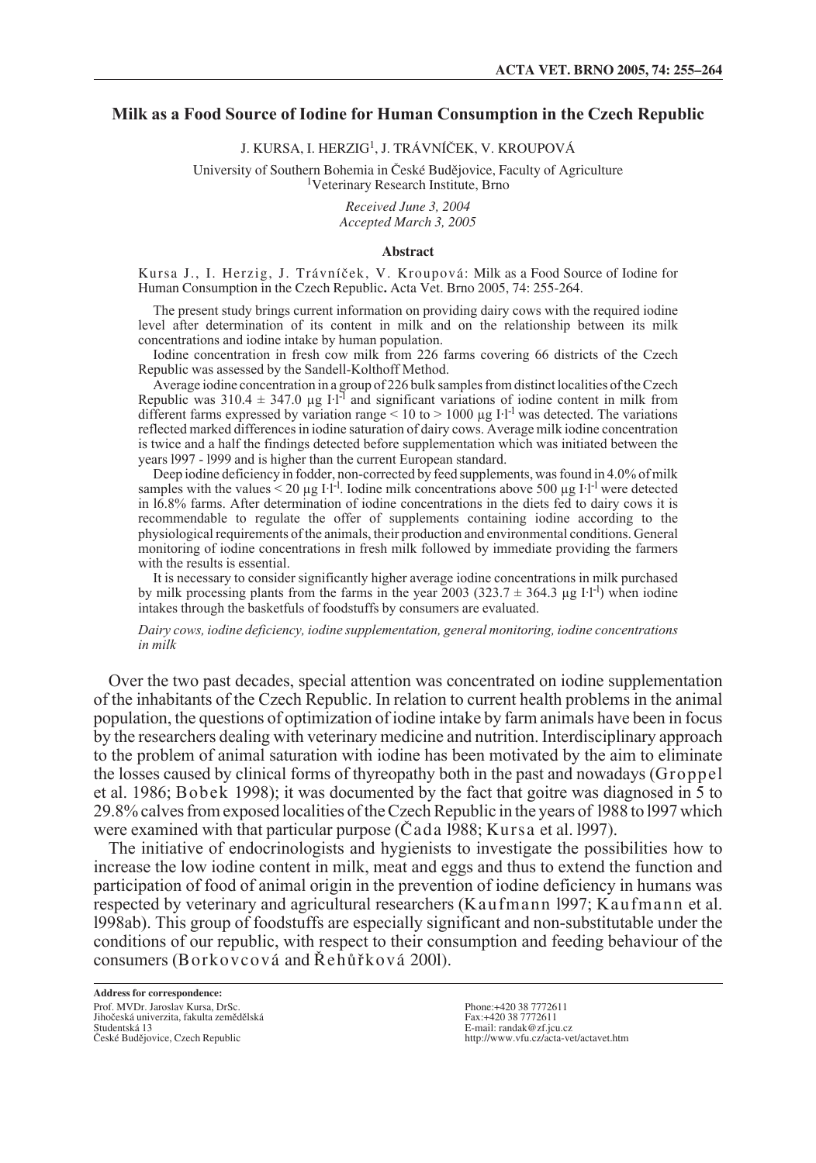### **Milk as a Food Source of Iodine for Human Consumption in the Czech Republic**

J. KURSA, I. HERZIG<sup>1</sup>, J. TRÁVNÍČEK, V. KROUPOVÁ

University of Southern Bohemia in České Budějovice, Faculty of Agriculture <sup>1</sup>Veterinary Research Institute, Brno

*Received June 3, 2004 Accepted March 3, 2005*

### **Abstract**

Kursa J., I. Herzig, J. Trávníãek, V. Kroupová: Milk as a Food Source of Iodine for Human Consumption in the Czech Republic**.** Acta Vet. Brno 2005, 74: 255-264.

The present study brings current information on providing dairy cows with the required iodine level after determination of its content in milk and on the relationship between its milk concentrations and iodine intake by human population.

Iodine concentration in fresh cow milk from 226 farms covering 66 districts of the Czech Republic was assessed by the Sandell-Kolthoff Method.

Average iodine concentration in a group of 226 bulk samples from distinct localities of the Czech Republic was  $310.4 \pm 347.0$  µg I·l<sup>-1</sup> and significant variations of iodine content in milk from different farms expressed by variation range < 10 to > 1000 µg I·l<sup>-1</sup> was detected. The variations reflected marked differences in iodine saturation of dairy cows. Average milk iodine concentration is twice and a half the findings detected before supplementation which was initiated between the years l997 - l999 and is higher than the current European standard.

Deep iodine deficiency in fodder, non-corrected by feed supplements, was found in 4.0% of milk samples with the values  $\leq 20 \mu g$  I·l<sup>-1</sup>. Iodine milk concentrations above 500  $\mu g$  I·l<sup>-1</sup> were detected in l6.8% farms. After determination of iodine concentrations in the diets fed to dairy cows it is recommendable to regulate the offer of supplements containing iodine according to the physiological requirements of the animals, their production and environmental conditions. General monitoring of iodine concentrations in fresh milk followed by immediate providing the farmers with the results is essential.

It is necessary to consider significantly higher average iodine concentrations in milk purchased by milk processing plants from the farms in the year 2003 (323.7  $\pm$  364.3 µg I·l<sup>-l</sup>) when iodine intakes through the basketfuls of foodstuffs by consumers are evaluated.

*Dairy cows, iodine deficiency, iodine supplementation, general monitoring, iodine concentrations in milk*

Over the two past decades, special attention was concentrated on iodine supplementation of the inhabitants of the Czech Republic. In relation to current health problems in the animal population, the questions of optimization of iodine intake by farm animals have been in focus by the researchers dealing with veterinary medicine and nutrition. Interdisciplinary approach to the problem of animal saturation with iodine has been motivated by the aim to eliminate the losses caused by clinical forms of thyreopathy both in the past and nowadays (Groppel et al. 1986; Bobek 1998); it was documented by the fact that goitre was diagnosed in 5 to 29.8% calves from exposed localities of the Czech Republic in the years of l988 to l997 which were examined with that particular purpose (Cada 1988; Kursa et al. 1997).

The initiative of endocrinologists and hygienists to investigate the possibilities how to increase the low iodine content in milk, meat and eggs and thus to extend the function and participation of food of animal origin in the prevention of iodine deficiency in humans was respected by veterinary and agricultural researchers (Kaufmann l997; Kaufmann et al. l998ab). This group of foodstuffs are especially significant and non-substitutable under the conditions of our republic, with respect to their consumption and feeding behaviour of the consumers (Borkovcová and Řehůřková 2001).

**Address for correspondence:** Prof. MVDr. Jaroslav Kursa, DrSc. Jihoãeská univerzita, fakulta zemûdûlská Studentská 13 České Budějovice, Czech Republic

Phone:+420 38 7772611 Fax:+420 38 7772611 E-mail: randak@zf.jcu.cz http://www.vfu.cz/acta-vet/actavet.htm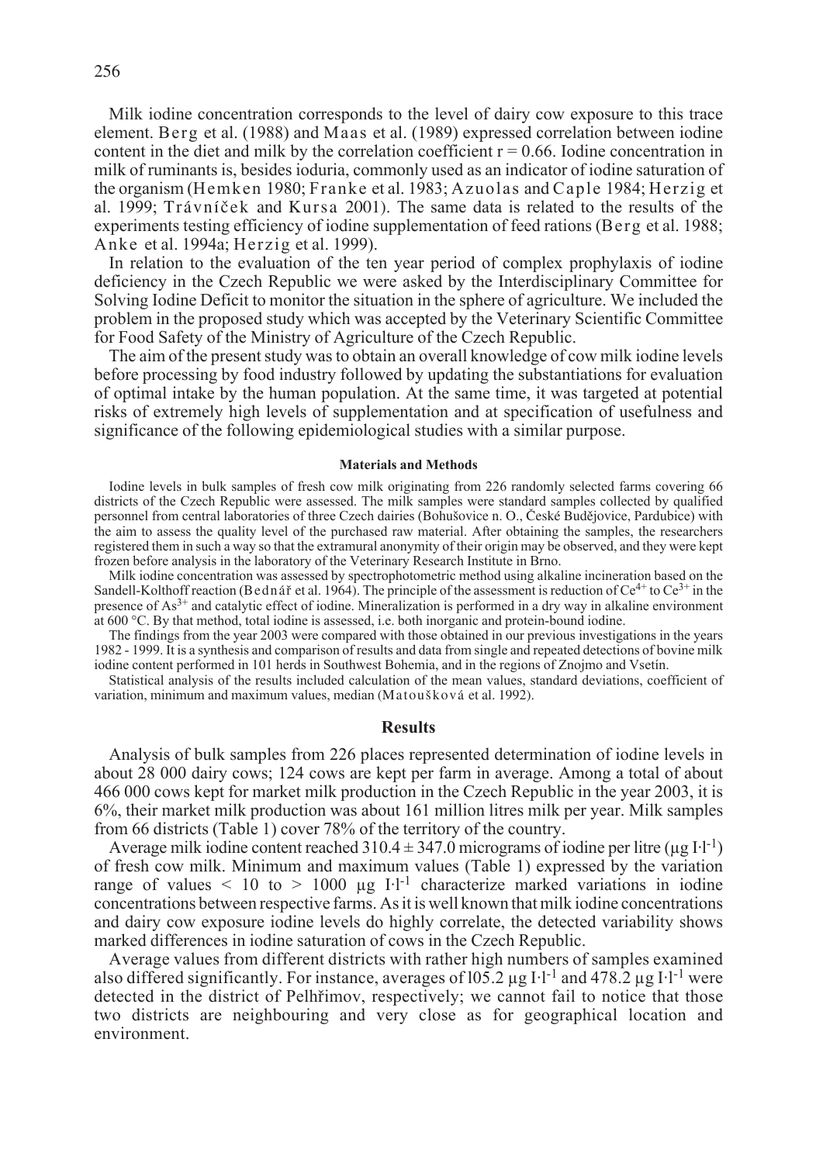Milk iodine concentration corresponds to the level of dairy cow exposure to this trace element. Berg et al. (1988) and Maas et al. (1989) expressed correlation between iodine content in the diet and milk by the correlation coefficient  $r = 0.66$ . Iodine concentration in milk of ruminants is, besides ioduria, commonly used as an indicator of iodine saturation of the organism (Hemken 1980; Franke et al. 1983; Azuolas and Caple 1984; Herzig et al. 1999; Trávníãek and Kursa 2001). The same data is related to the results of the experiments testing efficiency of iodine supplementation of feed rations (Berg et al. 1988; Anke et al. 1994a; Herzig et al. 1999).

In relation to the evaluation of the ten year period of complex prophylaxis of iodine deficiency in the Czech Republic we were asked by the Interdisciplinary Committee for Solving Iodine Deficit to monitor the situation in the sphere of agriculture. We included the problem in the proposed study which was accepted by the Veterinary Scientific Committee for Food Safety of the Ministry of Agriculture of the Czech Republic.

The aim of the present study was to obtain an overall knowledge of cow milk iodine levels before processing by food industry followed by updating the substantiations for evaluation of optimal intake by the human population. At the same time, it was targeted at potential risks of extremely high levels of supplementation and at specification of usefulness and significance of the following epidemiological studies with a similar purpose.

### **Materials and Methods**

Iodine levels in bulk samples of fresh cow milk originating from 226 randomly selected farms covering 66 districts of the Czech Republic were assessed. The milk samples were standard samples collected by qualified personnel from central laboratories of three Czech dairies (Bohušovice n. O., České Budějovice, Pardubice) with the aim to assess the quality level of the purchased raw material. After obtaining the samples, the researchers registered them in such a way so that the extramural anonymity of their origin may be observed, and they were kept frozen before analysis in the laboratory of the Veterinary Research Institute in Brno.

Milk iodine concentration was assessed by spectrophotometric method using alkaline incineration based on the Sandell-Kolthoff reaction (Bednář et al. 1964). The principle of the assessment is reduction of  $Ce^{4+}$  to  $Ce^{3+}$  in the presence of As3+ and catalytic effect of iodine. Mineralization is performed in a dry way in alkaline environment at 600 °C. By that method, total iodine is assessed, i.e. both inorganic and protein-bound iodine.

The findings from the year 2003 were compared with those obtained in our previous investigations in the years 1982 - 1999. It is a synthesis and comparison of results and data from single and repeated detections of bovine milk iodine content performed in 101 herds in Southwest Bohemia, and in the regions of Znojmo and Vsetín.

Statistical analysis of the results included calculation of the mean values, standard deviations, coefficient of variation, minimum and maximum values, median (Matoušková et al. 1992).

### **Results**

Analysis of bulk samples from 226 places represented determination of iodine levels in about 28 000 dairy cows; 124 cows are kept per farm in average. Among a total of about 466 000 cows kept for market milk production in the Czech Republic in the year 2003, it is 6%, their market milk production was about 161 million litres milk per year. Milk samples from 66 districts (Table 1) cover 78% of the territory of the country.

Average milk iodine content reached  $310.4 \pm 347.0$  micrograms of iodine per litre (µg I·l<sup>-1</sup>) of fresh cow milk. Minimum and maximum values (Table 1) expressed by the variation range of values  $\leq 10$  to  $> 1000$  µg I·l<sup>-1</sup> characterize marked variations in iodine concentrations between respective farms. As it is well known that milk iodine concentrations and dairy cow exposure iodine levels do highly correlate, the detected variability shows marked differences in iodine saturation of cows in the Czech Republic.

Average values from different districts with rather high numbers of samples examined also differed significantly. For instance, averages of  $105.2 \mu g I·l^{-1}$  and  $478.2 \mu g I·l^{-1}$  were detected in the district of Pelhfiimov, respectively; we cannot fail to notice that those two districts are neighbouring and very close as for geographical location and environment.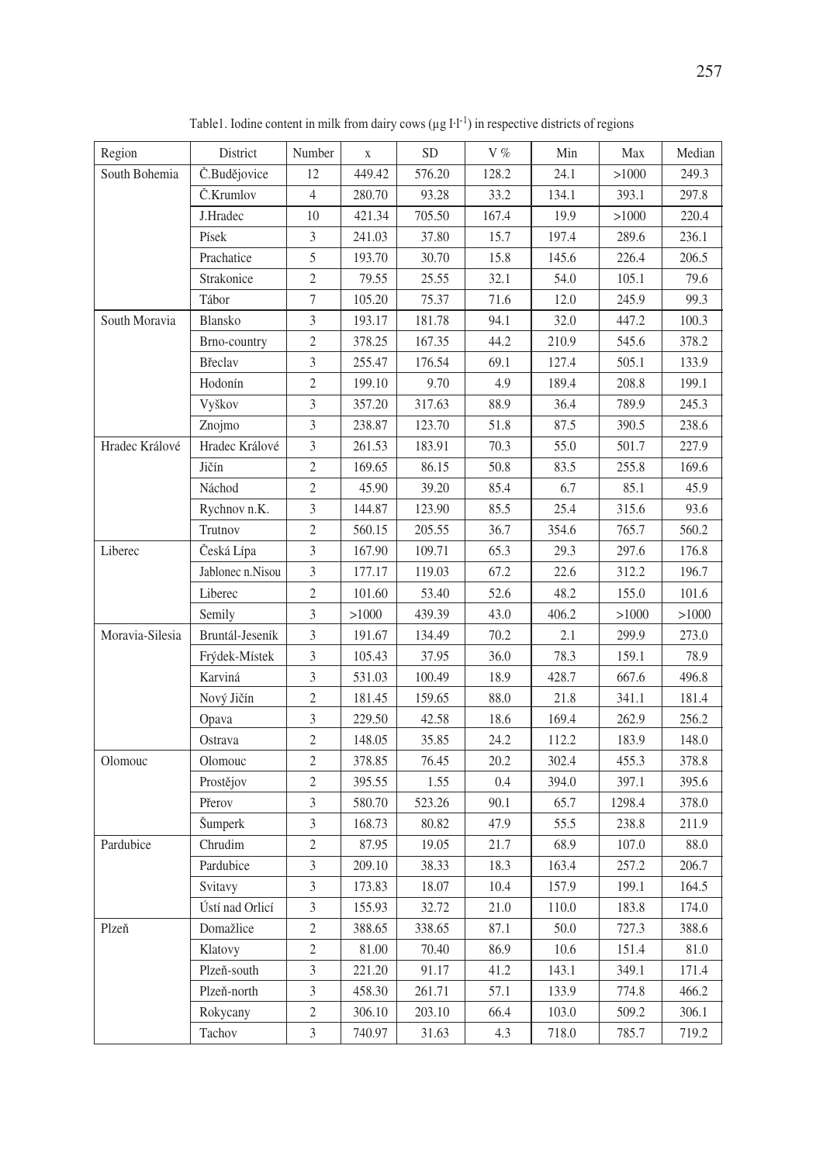| Region          | District                                                                                                          | Number                                                                                    | $\mathbf X$                                                                           | <b>SD</b>                                                                        | V%                                                                  | Min                                                                         | Max                                                                           | Median                                                                       |
|-----------------|-------------------------------------------------------------------------------------------------------------------|-------------------------------------------------------------------------------------------|---------------------------------------------------------------------------------------|----------------------------------------------------------------------------------|---------------------------------------------------------------------|-----------------------------------------------------------------------------|-------------------------------------------------------------------------------|------------------------------------------------------------------------------|
| South Bohemia   | Č.Budějovice                                                                                                      | 12                                                                                        | 449.42                                                                                | 576.20                                                                           | 128.2                                                               | 24.1                                                                        | >1000                                                                         | 249.3                                                                        |
|                 | Č.Krumlov                                                                                                         | $\overline{4}$                                                                            | 280.70                                                                                | 93.28                                                                            | 33.2                                                                | 134.1                                                                       | 393.1                                                                         | 297.8                                                                        |
|                 | J.Hradec                                                                                                          | 10                                                                                        | 421.34                                                                                | 705.50                                                                           | 167.4                                                               | 19.9                                                                        | >1000                                                                         | 220.4                                                                        |
|                 | Písek                                                                                                             | 3                                                                                         | 241.03                                                                                | 37.80                                                                            | 15.7                                                                | 197.4                                                                       | 289.6                                                                         | 236.1                                                                        |
|                 | Prachatice                                                                                                        | 5                                                                                         | 193.70                                                                                | 30.70                                                                            | 15.8                                                                | 145.6                                                                       | 226.4                                                                         | 206.5                                                                        |
|                 | Strakonice                                                                                                        | $\overline{c}$                                                                            | 79.55                                                                                 | 25.55                                                                            | 32.1                                                                | 54.0                                                                        | 105.1                                                                         | 79.6                                                                         |
|                 | Tábor                                                                                                             | $\tau$                                                                                    | 105.20                                                                                |                                                                                  | 71.6                                                                |                                                                             |                                                                               | 99.3                                                                         |
|                 |                                                                                                                   | 3                                                                                         |                                                                                       | 75.37                                                                            | 94.1                                                                | 12.0                                                                        | 245.9                                                                         |                                                                              |
| South Moravia   | Blansko                                                                                                           |                                                                                           | 193.17                                                                                | 181.78                                                                           |                                                                     | 32.0                                                                        | 447.2                                                                         | 100.3                                                                        |
|                 | Brno-country                                                                                                      | $\sqrt{2}$                                                                                | 378.25                                                                                | 167.35                                                                           | 44.2                                                                | 210.9                                                                       | 545.6                                                                         | 378.2                                                                        |
|                 | Břeclav                                                                                                           | $\mathfrak{Z}$                                                                            | 255.47                                                                                | 176.54                                                                           | 69.1                                                                | 127.4                                                                       | 505.1                                                                         | 133.9                                                                        |
|                 | Hodonín                                                                                                           | $\mathfrak{2}$                                                                            | 199.10                                                                                | 9.70                                                                             | 4.9                                                                 | 189.4                                                                       | 208.8                                                                         | 199.1                                                                        |
|                 | Vyškov                                                                                                            | 3                                                                                         | 357.20                                                                                | 317.63                                                                           | 88.9                                                                | 36.4                                                                        | 789.9                                                                         | 245.3                                                                        |
|                 | Znojmo                                                                                                            | 3                                                                                         | 238.87                                                                                | 123.70                                                                           | 51.8                                                                | 87.5                                                                        | 390.5                                                                         | 238.6                                                                        |
| Hradec Králové  | Hradec Králové                                                                                                    | 3                                                                                         | 261.53                                                                                | 183.91                                                                           | 70.3                                                                | 55.0                                                                        | 501.7                                                                         | 227.9                                                                        |
|                 | Jičín                                                                                                             | $\mathfrak{2}$                                                                            | 169.65                                                                                | 86.15                                                                            | 50.8                                                                | 83.5                                                                        | 255.8                                                                         | 169.6                                                                        |
|                 | Náchod                                                                                                            | $\overline{c}$                                                                            | 45.90                                                                                 | 39.20                                                                            | 85.4                                                                | 6.7                                                                         | 85.1                                                                          | 45.9                                                                         |
|                 | Rychnov n.K.                                                                                                      | 3                                                                                         | 144.87                                                                                | 123.90                                                                           | 85.5                                                                | 25.4                                                                        | 315.6                                                                         | 93.6                                                                         |
|                 | Trutnov                                                                                                           | $\overline{c}$                                                                            | 560.15                                                                                | 205.55                                                                           | 36.7                                                                | 354.6                                                                       | 765.7                                                                         | 560.2                                                                        |
| Liberec         | Česká Lípa                                                                                                        | 3                                                                                         | 167.90                                                                                | 109.71                                                                           | 65.3                                                                | 29.3                                                                        | 297.6                                                                         | 176.8                                                                        |
|                 | Jablonec n.Nisou                                                                                                  | $\mathfrak{Z}$                                                                            | 177.17                                                                                | 119.03                                                                           | 67.2                                                                | 22.6                                                                        | 312.2                                                                         | 196.7                                                                        |
|                 | Liberec                                                                                                           | $\overline{2}$                                                                            | 101.60                                                                                | 53.40                                                                            | 52.6                                                                | 48.2                                                                        | 155.0                                                                         | 101.6                                                                        |
|                 | Semily                                                                                                            | 3                                                                                         | >1000                                                                                 | 439.39                                                                           | 43.0                                                                | 406.2                                                                       | >1000                                                                         | >1000                                                                        |
| Moravia-Silesia | Bruntál-Jeseník                                                                                                   | 3                                                                                         | 191.67                                                                                | 134.49                                                                           | 70.2                                                                | 2.1                                                                         | 299.9                                                                         | 273.0                                                                        |
|                 | Frýdek-Místek                                                                                                     | $\mathfrak{Z}$                                                                            | 105.43                                                                                | 37.95                                                                            | 36.0                                                                | 78.3                                                                        | 159.1                                                                         | 78.9                                                                         |
|                 | Karviná                                                                                                           | 3                                                                                         | 531.03                                                                                | 100.49                                                                           | 18.9                                                                | 428.7                                                                       | 667.6                                                                         | 496.8                                                                        |
|                 | Nový Jičín                                                                                                        | $\sqrt{2}$                                                                                | 181.45                                                                                | 159.65                                                                           | 88.0                                                                | 21.8                                                                        | 341.1                                                                         | 181.4                                                                        |
|                 | Opava                                                                                                             | 3                                                                                         | 229.50                                                                                | 42.58                                                                            | 18.6                                                                | 169.4                                                                       | 262.9                                                                         | 256.2                                                                        |
|                 | Ostrava                                                                                                           | $\overline{c}$                                                                            | 148.05                                                                                | 35.85                                                                            | 24.2                                                                | 112.2                                                                       | 183.9                                                                         | 148.0                                                                        |
| Olomouc         | Olomouc                                                                                                           | $\overline{c}$                                                                            | 378.85                                                                                | 76.45                                                                            | 20.2                                                                | 302.4                                                                       | 455.3                                                                         | 378.8                                                                        |
|                 | Prostějov                                                                                                         | $\mathfrak{2}$                                                                            | 395.55                                                                                | 1.55                                                                             | 0.4                                                                 | 394.0                                                                       | 397.1                                                                         | 395.6                                                                        |
|                 | Přerov                                                                                                            | $\mathfrak{Z}$                                                                            | 580.70                                                                                | 523.26                                                                           | 90.1                                                                | 65.7                                                                        | 1298.4                                                                        | 378.0                                                                        |
|                 |                                                                                                                   | $\mathfrak{Z}$                                                                            | 168.73                                                                                | 80.82                                                                            | 47.9                                                                | 55.5                                                                        | 238.8                                                                         | 211.9                                                                        |
| Pardubice       | Chrudim                                                                                                           | $\overline{c}$                                                                            | 87.95                                                                                 | 19.05                                                                            | 21.7                                                                | 68.9                                                                        | 107.0                                                                         | 88.0                                                                         |
|                 | Pardubice                                                                                                         | $\mathfrak{Z}$                                                                            |                                                                                       |                                                                                  |                                                                     |                                                                             |                                                                               |                                                                              |
|                 |                                                                                                                   | 3                                                                                         |                                                                                       |                                                                                  |                                                                     |                                                                             |                                                                               |                                                                              |
|                 |                                                                                                                   |                                                                                           |                                                                                       |                                                                                  |                                                                     |                                                                             |                                                                               |                                                                              |
|                 |                                                                                                                   |                                                                                           |                                                                                       |                                                                                  |                                                                     |                                                                             |                                                                               |                                                                              |
|                 |                                                                                                                   | $\overline{2}$                                                                            |                                                                                       |                                                                                  |                                                                     |                                                                             |                                                                               |                                                                              |
|                 |                                                                                                                   |                                                                                           |                                                                                       |                                                                                  |                                                                     |                                                                             |                                                                               |                                                                              |
|                 |                                                                                                                   |                                                                                           |                                                                                       |                                                                                  |                                                                     |                                                                             |                                                                               |                                                                              |
|                 |                                                                                                                   |                                                                                           |                                                                                       |                                                                                  |                                                                     |                                                                             |                                                                               |                                                                              |
|                 |                                                                                                                   |                                                                                           |                                                                                       |                                                                                  |                                                                     |                                                                             |                                                                               |                                                                              |
| Plzeň           | Šumperk<br>Svitavy<br>Ústí nad Orlicí<br>Domažlice<br>Klatovy<br>Plzeň-south<br>Plzeň-north<br>Rokycany<br>Tachov | $\mathfrak{Z}$<br>$\mathfrak{2}$<br>3<br>$\mathfrak{Z}$<br>$\mathbf{2}$<br>$\overline{3}$ | 209.10<br>173.83<br>155.93<br>388.65<br>81.00<br>221.20<br>458.30<br>306.10<br>740.97 | 38.33<br>18.07<br>32.72<br>338.65<br>70.40<br>91.17<br>261.71<br>203.10<br>31.63 | 18.3<br>10.4<br>21.0<br>87.1<br>86.9<br>41.2<br>57.1<br>66.4<br>4.3 | 163.4<br>157.9<br>110.0<br>50.0<br>10.6<br>143.1<br>133.9<br>103.0<br>718.0 | 257.2<br>199.1<br>183.8<br>727.3<br>151.4<br>349.1<br>774.8<br>509.2<br>785.7 | 206.7<br>164.5<br>174.0<br>388.6<br>81.0<br>171.4<br>466.2<br>306.1<br>719.2 |

Table1. Iodine content in milk from dairy cows ( $\mu$ g I·l<sup>-1</sup>) in respective districts of regions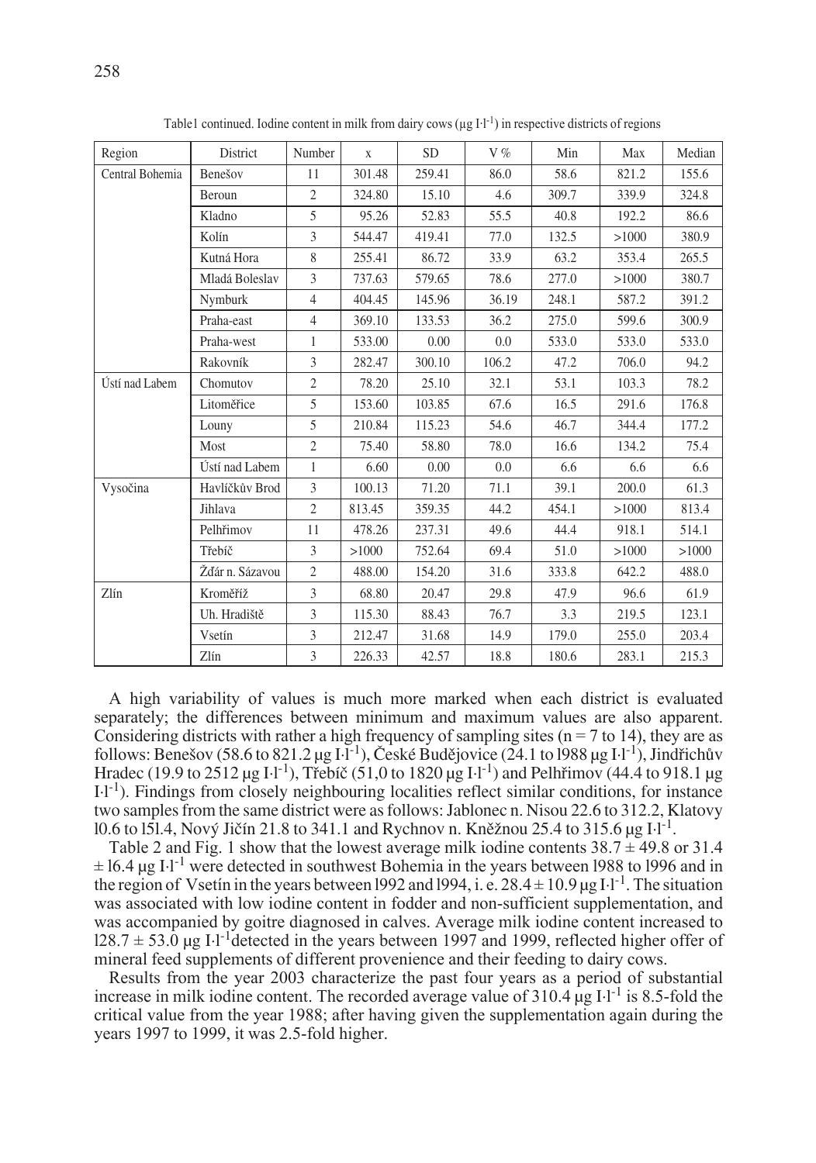| Region          | District        | Number         | $\mathbf{X}$ | SD.    | V%    | Min   | Max   | Median |
|-----------------|-----------------|----------------|--------------|--------|-------|-------|-------|--------|
| Central Bohemia | Benešov         | 11             | 301.48       | 259.41 | 86.0  | 58.6  | 821.2 | 155.6  |
|                 | Beroun          | $\overline{2}$ | 324.80       | 15.10  | 4.6   | 309.7 | 339.9 | 324.8  |
|                 | Kladno          | 5              | 95.26        | 52.83  | 55.5  | 40.8  | 192.2 | 86.6   |
|                 | Kolín           | $\overline{3}$ | 544.47       | 419.41 | 77.0  | 132.5 | >1000 | 380.9  |
|                 | Kutná Hora      | 8              | 255.41       | 86.72  | 33.9  | 63.2  | 353.4 | 265.5  |
|                 | Mladá Boleslav  | $\overline{3}$ | 737.63       | 579.65 | 78.6  | 277.0 | >1000 | 380.7  |
|                 | Nymburk         | $\overline{4}$ | 404.45       | 145.96 | 36.19 | 248.1 | 587.2 | 391.2  |
|                 | Praha-east      | $\overline{4}$ | 369.10       | 133.53 | 36.2  | 275.0 | 599.6 | 300.9  |
|                 | Praha-west      | 1              | 533.00       | 0.00   | 0.0   | 533.0 | 533.0 | 533.0  |
|                 | Rakovník        | 3              | 282.47       | 300.10 | 106.2 | 47.2  | 706.0 | 94.2   |
| Ústí nad Labem  | Chomutov        | $\overline{2}$ | 78.20        | 25.10  | 32.1  | 53.1  | 103.3 | 78.2   |
|                 | Litoměřice      | 5              | 153.60       | 103.85 | 67.6  | 16.5  | 291.6 | 176.8  |
|                 | Louny           | 5              | 210.84       | 115.23 | 54.6  | 46.7  | 344.4 | 177.2  |
|                 | Most            | $\overline{2}$ | 75.40        | 58.80  | 78.0  | 16.6  | 134.2 | 75.4   |
|                 | Ústí nad Labem  | $\mathbf{1}$   | 6.60         | 0.00   | 0.0   | 6.6   | 6.6   | 6.6    |
| Vysočina        | Havlíčkův Brod  | $\overline{3}$ | 100.13       | 71.20  | 71.1  | 39.1  | 200.0 | 61.3   |
|                 | Jihlava         | $\overline{2}$ | 813.45       | 359.35 | 44.2  | 454.1 | >1000 | 813.4  |
|                 | Pelhřimov       | 11             | 478.26       | 237.31 | 49.6  | 44.4  | 918.1 | 514.1  |
|                 | Třebíč          | 3              | >1000        | 752.64 | 69.4  | 51.0  | >1000 | >1000  |
|                 | Žďár n. Sázavou | $\overline{c}$ | 488.00       | 154.20 | 31.6  | 333.8 | 642.2 | 488.0  |
| Zlín            | Kroměříž        | $\overline{3}$ | 68.80        | 20.47  | 29.8  | 47.9  | 96.6  | 61.9   |
|                 | Uh. Hradiště    | 3              | 115.30       | 88.43  | 76.7  | 3.3   | 219.5 | 123.1  |
|                 | Vsetín          | 3              | 212.47       | 31.68  | 14.9  | 179.0 | 255.0 | 203.4  |
|                 | Zlín            | 3              | 226.33       | 42.57  | 18.8  | 180.6 | 283.1 | 215.3  |

Table1 continued. Iodine content in milk from dairy cows ( $\mu$ g I·l<sup>-1</sup>) in respective districts of regions

A high variability of values is much more marked when each district is evaluated separately; the differences between minimum and maximum values are also apparent. Considering districts with rather a high frequency of sampling sites ( $n = 7$  to 14), they are as follows: Benešov (58.6 to 821.2 µg  $\overline{1}$ . České Budějovice (24.1 to 1988 µg  $\overline{1}$ .), Jindřichův Hradec (19.9 to 2512 µg I·l<sup>-1</sup>), Třebíč (51,0 to 1820 µg I·l<sup>-1</sup>) and Pelhřimov (44.4 to 918.1 µg I·l-1). Findings from closely neighbouring localities reflect similar conditions, for instance two samples from the same district were as follows: Jablonec n. Nisou 22.6 to 312.2, Klatovy l0.6 to 151.4, Nový Jičín 21.8 to 341.1 and Rychnov n. Kněžnou 25.4 to 315.6  $\mu$ g I·l<sup>-1</sup>.

Table 2 and Fig. 1 show that the lowest average milk iodine contents  $38.7 \pm 49.8$  or 31.4  $\pm 16.4$  µg I·l<sup>-1</sup> were detected in southwest Bohemia in the years between 1988 to 1996 and in the region of Vsetín in the years between 1992 and 1994, i. e.  $28.4 \pm 10.9$  µg I·l<sup>-1</sup>. The situation was associated with low iodine content in fodder and non-sufficient supplementation, and was accompanied by goitre diagnosed in calves. Average milk iodine content increased to  $128.7 \pm 53.0$  ug I·l<sup>-1</sup>detected in the years between 1997 and 1999, reflected higher offer of mineral feed supplements of different provenience and their feeding to dairy cows.

Results from the year 2003 characterize the past four years as a period of substantial increase in milk iodine content. The recorded average value of  $310.4 \mu g I^{-1}$  is 8.5-fold the critical value from the year 1988; after having given the supplementation again during the years 1997 to 1999, it was 2.5-fold higher.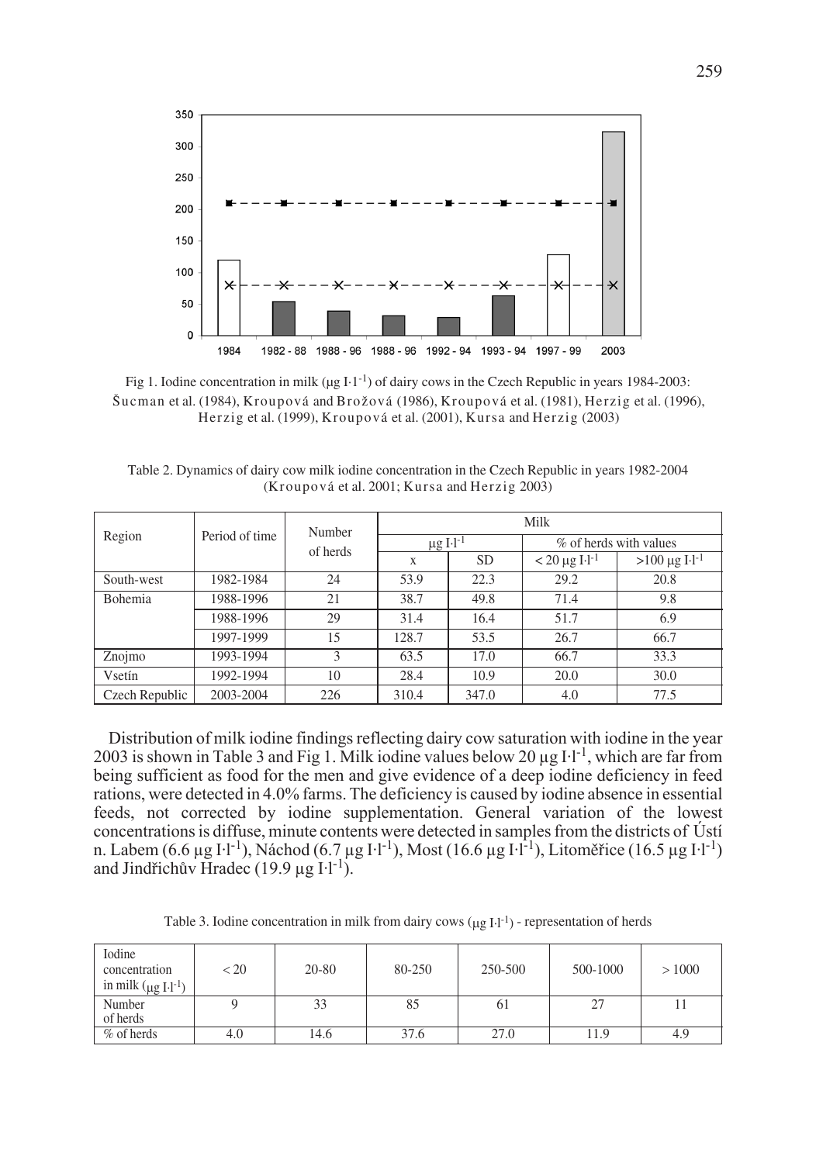

Šucman et al. (1984), Kroupová and Brožová (1986), Kroupová et al. (1981), Herzig et al. (1996), Herzig et al. (1999), Kroupová et al. (2001), Kursa and Herzig (2003) Fig 1. Iodine concentration in milk ( $\mu$ g I·1<sup>-1</sup>) of dairy cows in the Czech Republic in years 1984-2003:

Table 2. Dynamics of dairy cow milk iodine concentration in the Czech Republic in years 1982-2004 (Kroupová et al. 2001; Kursa and Herzig 2003)

| Region         |                | Number<br>of herds | Milk                      |           |                                |                                |  |
|----------------|----------------|--------------------|---------------------------|-----------|--------------------------------|--------------------------------|--|
|                | Period of time |                    | $\mu$ g I·l <sup>-1</sup> |           | % of herds with values         |                                |  |
|                |                |                    | X                         | <b>SD</b> | $< 20 \mu g$ I·l <sup>-1</sup> | $>100 \mu g$ I.1 <sup>-1</sup> |  |
| South-west     | 1982-1984      | 24                 | 53.9                      | 22.3      | 29.2                           | 20.8                           |  |
| Bohemia        | 1988-1996      | 21                 | 38.7                      | 49.8      | 71.4                           | 9.8                            |  |
|                | 1988-1996      | 29                 | 31.4                      | 16.4      | 51.7                           | 6.9                            |  |
|                | 1997-1999      | 15                 | 128.7                     | 53.5      | 26.7                           | 66.7                           |  |
| Znojmo         | 1993-1994      | 3                  | 63.5                      | 17.0      | 66.7                           | 33.3                           |  |
| Vsetín         | 1992-1994      | 10                 | 28.4                      | 10.9      | 20.0                           | 30.0                           |  |
| Czech Republic | 2003-2004      | 226                | 310.4                     | 347.0     | 4.0                            | 77.5                           |  |

Distribution of milk iodine findings reflecting dairy cow saturation with iodine in the year 2003 is shown in Table 3 and Fig 1. Milk iodine values below 20  $\mu$ g I·l<sup>-1</sup>, which are far from being sufficient as food for the men and give evidence of a deep iodine deficiency in feed rations, were detected in 4.0% farms. The deficiency is caused by iodine absence in essential feeds, not corrected by iodine supplementation. General variation of the lowest concentrations is diffuse, minute contents were detected in samples from the districts of Ústí n. Labem (6.6 µg I·l<sup>-1</sup>), Náchod (6.7 µg I·l<sup>-1</sup>), Most (16.6 µg I·l<sup>-1</sup>), Litoměřice (16.5 µg I·l<sup>-1</sup>) and Jindřichův Hradec (19.9 µg  $I·l^{-1}$ ).

Table 3. Iodine concentration in milk from dairy cows  $(\mu g I \cdot l^{-1})$  - representation of herds

| Iodine<br>concentration<br>in milk $(\mu g I \cdot l^{-1})$ | < 20 | $20 - 80$ | 80-250 | 250-500 | 500-1000 | >1000 |
|-------------------------------------------------------------|------|-----------|--------|---------|----------|-------|
| Number<br>of herds                                          |      | 33        | 85     | ωI      | 27       |       |
| $\%$ of herds                                               | 4.0  | 14.6      | 37.6   | 27.0    | 11.9     | 4.9   |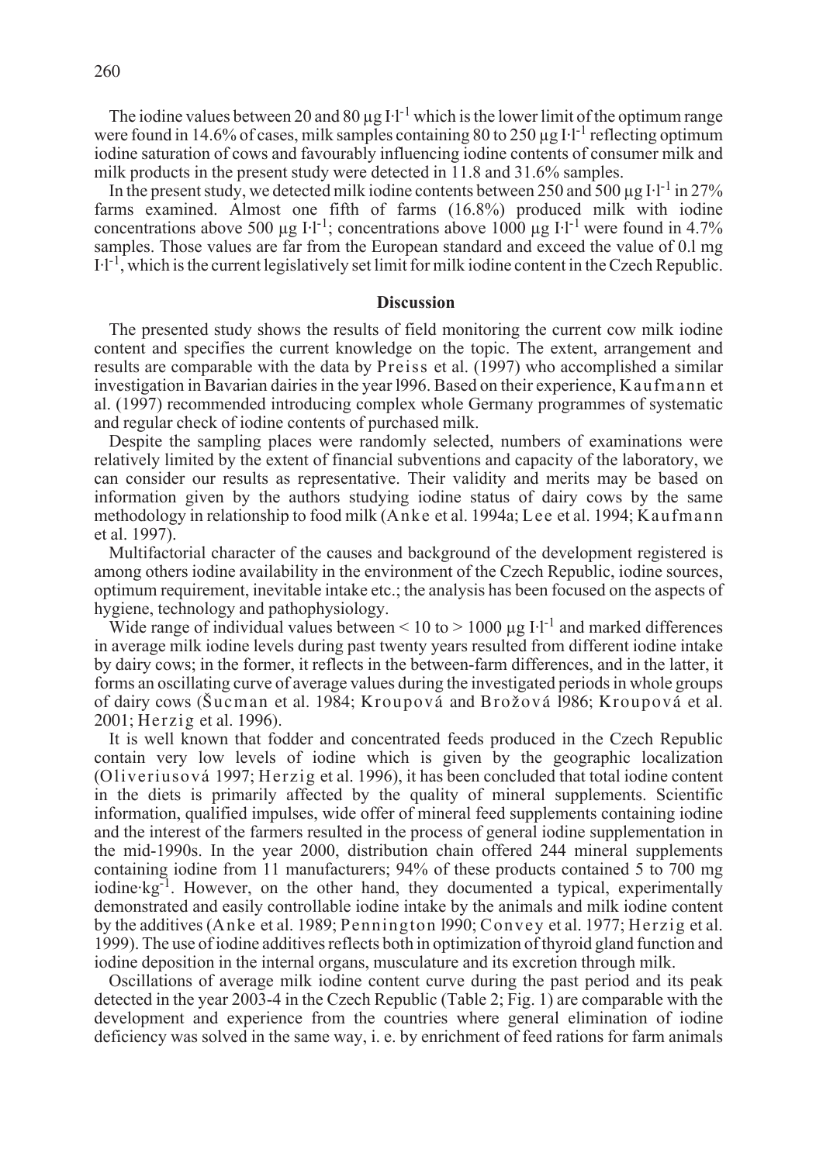The iodine values between 20 and 80  $\mu$ g I·l<sup>-1</sup> which is the lower limit of the optimum range were found in 14.6% of cases, milk samples containing 80 to 250  $\mu$ g I·l<sup>-1</sup> reflecting optimum iodine saturation of cows and favourably influencing iodine contents of consumer milk and milk products in the present study were detected in 11.8 and 31.6% samples.

In the present study, we detected milk iodine contents between 250 and 500  $\mu$ g I·l<sup>-1</sup> in 27% farms examined. Almost one fifth of farms (16.8%) produced milk with iodine concentrations above 500 µg I·l<sup>-1</sup>; concentrations above 1000 µg I·l<sup>-1</sup> were found in 4.7% samples. Those values are far from the European standard and exceed the value of 0.l mg  $I-I<sup>-1</sup>$ , which is the current legislatively set limit for milk iodine content in the Czech Republic.

## **Discussion**

The presented study shows the results of field monitoring the current cow milk iodine content and specifies the current knowledge on the topic. The extent, arrangement and results are comparable with the data by Preiss et al. (1997) who accomplished a similar investigation in Bavarian dairies in the year l996. Based on their experience, Kaufmann et al. (1997) recommended introducing complex whole Germany programmes of systematic and regular check of iodine contents of purchased milk.

Despite the sampling places were randomly selected, numbers of examinations were relatively limited by the extent of financial subventions and capacity of the laboratory, we can consider our results as representative. Their validity and merits may be based on information given by the authors studying iodine status of dairy cows by the same methodology in relationship to food milk (Anke et al. 1994a; Lee et al. 1994; Kaufmann et al. 1997).

Multifactorial character of the causes and background of the development registered is among others iodine availability in the environment of the Czech Republic, iodine sources, optimum requirement, inevitable intake etc.; the analysis has been focused on the aspects of hygiene, technology and pathophysiology.

Wide range of individual values between  $\leq 10$  to  $> 1000$  ug I·l<sup>-1</sup> and marked differences in average milk iodine levels during past twenty years resulted from different iodine intake by dairy cows; in the former, it reflects in the between-farm differences, and in the latter, it forms an oscillating curve of average values during the investigated periods in whole groups of dairy cows (Sucman et al. 1984; Kroupová and Brožová 1986; Kroupová et al. 2001; Herzig et al. 1996).

It is well known that fodder and concentrated feeds produced in the Czech Republic contain very low levels of iodine which is given by the geographic localization (Oliveriusová 1997; Herzig et al. 1996), it has been concluded that total iodine content in the diets is primarily affected by the quality of mineral supplements. Scientific information, qualified impulses, wide offer of mineral feed supplements containing iodine and the interest of the farmers resulted in the process of general iodine supplementation in the mid-1990s. In the year 2000, distribution chain offered 244 mineral supplements containing iodine from 11 manufacturers; 94% of these products contained 5 to 700 mg iodine $kg^{-1}$ . However, on the other hand, they documented a typical, experimentally demonstrated and easily controllable iodine intake by the animals and milk iodine content by the additives (Anke et al. 1989; Pennington l990; Convey et al. 1977; Herzig et al. 1999). The use of iodine additives reflects both in optimization of thyroid gland function and iodine deposition in the internal organs, musculature and its excretion through milk.

Oscillations of average milk iodine content curve during the past period and its peak detected in the year 2003-4 in the Czech Republic (Table 2; Fig. 1) are comparable with the development and experience from the countries where general elimination of iodine deficiency was solved in the same way, i. e. by enrichment of feed rations for farm animals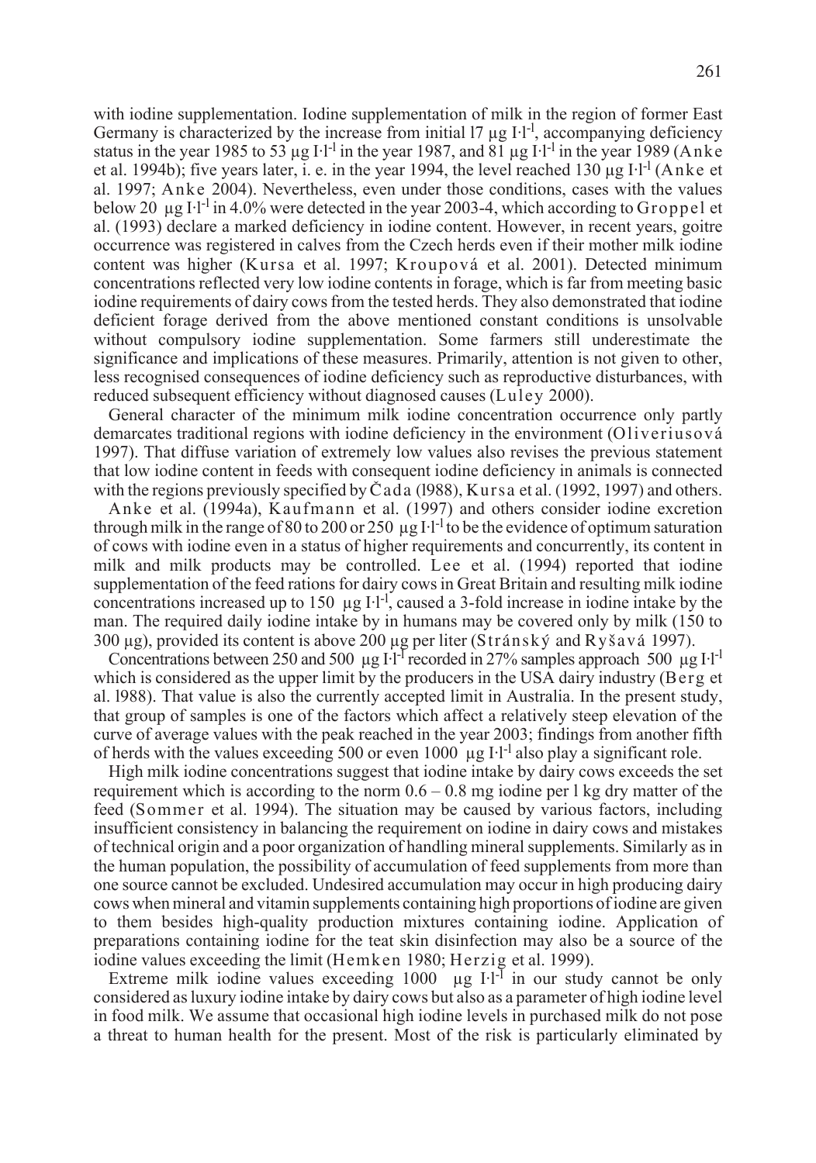with iodine supplementation. Iodine supplementation of milk in the region of former East Germany is characterized by the increase from initial 17  $\mu$ g I·l<sup>-1</sup>, accompanying deficiency status in the year 1985 to 53 µg I·l<sup>-1</sup> in the year 1987, and 81 µg I·l<sup>-1</sup> in the year 1989 (Anke et al. 1994b); five years later, i. e. in the year 1994, the level reached 130  $\mu$ g I·l<sup>-1</sup> (Anke et al. 1997; Anke 2004). Nevertheless, even under those conditions, cases with the values below 20  $\mu$ g I·l<sup>-l</sup> in 4.0% were detected in the year 2003-4, which according to Groppel et al. (1993) declare a marked deficiency in iodine content. However, in recent years, goitre occurrence was registered in calves from the Czech herds even if their mother milk iodine content was higher (Kursa et al. 1997; Kroupová et al. 2001). Detected minimum concentrations reflected very low iodine contents in forage, which is far from meeting basic iodine requirements of dairy cows from the tested herds. They also demonstrated that iodine deficient forage derived from the above mentioned constant conditions is unsolvable without compulsory iodine supplementation. Some farmers still underestimate the significance and implications of these measures. Primarily, attention is not given to other, less recognised consequences of iodine deficiency such as reproductive disturbances, with reduced subsequent efficiency without diagnosed causes (Luley 2000).

General character of the minimum milk iodine concentration occurrence only partly demarcates traditional regions with iodine deficiency in the environment (Oliveriusová 1997). That diffuse variation of extremely low values also revises the previous statement that low iodine content in feeds with consequent iodine deficiency in animals is connected with the regions previously specified by  $\check{C}$  ad a (1988), Kursa et al. (1992, 1997) and others.

Anke et al. (1994a), Kaufmann et al. (1997) and others consider iodine excretion through milk in the range of 80 to 200 or 250  $\mu$ g I·l<sup>-1</sup> to be the evidence of optimum saturation of cows with iodine even in a status of higher requirements and concurrently, its content in milk and milk products may be controlled. Lee et al. (1994) reported that iodine supplementation of the feed rations for dairy cows in Great Britain and resulting milk iodine concentrations increased up to 150  $\mu$ g I·l<sup>-1</sup>, caused a 3-fold increase in iodine intake by the man. The required daily iodine intake by in humans may be covered only by milk (150 to 300 µg), provided its content is above 200 µg per liter (Stránský and Ryšavá 1997).

Concentrations between 250 and 500 µg I $\cdot$ l<sup>-I</sup> recorded in 27% samples approach 500 µg I·l<sup>-I</sup> which is considered as the upper limit by the producers in the USA dairy industry (Berg et al. l988). That value is also the currently accepted limit in Australia. In the present study, that group of samples is one of the factors which affect a relatively steep elevation of the curve of average values with the peak reached in the year 2003; findings from another fifth of herds with the values exceeding 500 or even 1000  $\mu$ g I·l<sup>-1</sup> also play a significant role.

High milk iodine concentrations suggest that iodine intake by dairy cows exceeds the set requirement which is according to the norm  $0.6 - 0.8$  mg iodine per l kg dry matter of the feed (Sommer et al. 1994). The situation may be caused by various factors, including insufficient consistency in balancing the requirement on iodine in dairy cows and mistakes of technical origin and a poor organization of handling mineral supplements. Similarly as in the human population, the possibility of accumulation of feed supplements from more than one source cannot be excluded. Undesired accumulation may occur in high producing dairy cows when mineral and vitamin supplements containing high proportions of iodine are given to them besides high-quality production mixtures containing iodine. Application of preparations containing iodine for the teat skin disinfection may also be a source of the iodine values exceeding the limit (Hemken 1980; Herzig et al. 1999).

Extreme milk iodine values exceeding 1000  $\mu$ g I·l<sup>-1</sup> in our study cannot be only considered as luxury iodine intake by dairy cows but also as a parameter of high iodine level in food milk. We assume that occasional high iodine levels in purchased milk do not pose a threat to human health for the present. Most of the risk is particularly eliminated by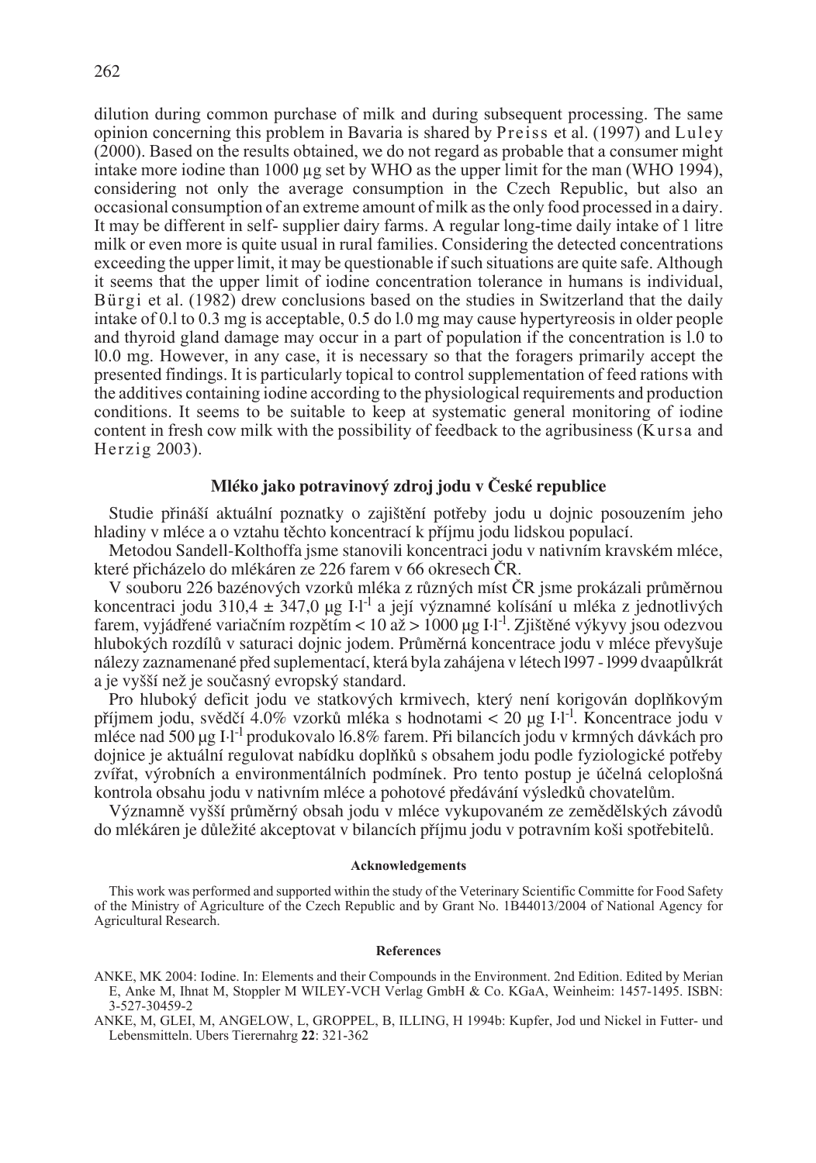dilution during common purchase of milk and during subsequent processing. The same opinion concerning this problem in Bavaria is shared by Preiss et al. (1997) and Luley (2000). Based on the results obtained, we do not regard as probable that a consumer might intake more iodine than 1000 µg set by WHO as the upper limit for the man (WHO 1994), considering not only the average consumption in the Czech Republic, but also an occasional consumption of an extreme amount of milk as the only food processed in a dairy. It may be different in self- supplier dairy farms. A regular long-time daily intake of 1 litre milk or even more is quite usual in rural families. Considering the detected concentrations exceeding the upper limit, it may be questionable if such situations are quite safe. Although it seems that the upper limit of iodine concentration tolerance in humans is individual, Bürgi et al. (1982) drew conclusions based on the studies in Switzerland that the daily intake of 0.l to 0.3 mg is acceptable, 0.5 do l.0 mg may cause hypertyreosis in older people and thyroid gland damage may occur in a part of population if the concentration is l.0 to l0.0 mg. However, in any case, it is necessary so that the foragers primarily accept the presented findings. It is particularly topical to control supplementation of feed rations with the additives containing iodine according to the physiological requirements and production conditions. It seems to be suitable to keep at systematic general monitoring of iodine content in fresh cow milk with the possibility of feedback to the agribusiness (Kursa and Herzig 2003).

# Mléko jako potravinový zdroj jodu v České republice

Studie přináší aktuální poznatky o zajištění potřeby jodu u dojnic posouzením jeho hladiny v mléce a o vztahu těchto koncentrací k příjmu jodu lidskou populací.

Metodou Sandell-Kolthoffa jsme stanovili koncentraci jodu v nativním kravském mléce, které přicházelo do mlékáren ze 226 farem v 66 okresech ČR.

V souboru 226 bazénových vzorků mléka z různých míst ČR jsme prokázali průměrnou koncentraci jodu 310,4 ± 347,0 µg I·l<sup>-l</sup> a její významné kolísání u mléka z jednotlivých farem, vyjádřené variačním rozpětím < 10 až > 1000 µg I·l<sup>-1</sup>. Zjištěné výkyvy jsou odezvou hlubokých rozdílů v saturaci dojnic jodem. Průměrná koncentrace jodu v mléce převyšuje nálezy zaznamenané před suplementací, která byla zahájena v létech 1997 - 1999 dvaapůlkrát a je vyšší než je současný evropský standard.

Pro hluboký deficit jodu ve statkových krmivech, který není korigován doplňkovým příjmem jodu, svědčí 4.0% vzorků mléka s hodnotami < 20 µg I·l<sup>-1</sup>. Koncentrace jodu v mléce nad 500 µg I·l<sup>-1</sup> produkovalo 16.8% farem. Při bilancích jodu v krmných dávkách pro dojnice je aktuální regulovat nabídku doplňků s obsahem jodu podle fyziologické potřeby zvířat, výrobních a environmentálních podmínek. Pro tento postup je účelná celoplošná kontrola obsahu jodu v nativním mléce a pohotové předávání výsledků chovatelům.

Významně vyšší průměrný obsah jodu v mléce vykupovaném ze zemědělských závodů do mlékáren je důležité akceptovat v bilancích příjmu jodu v potravním koši spotřebitelů.

### **Acknowledgements**

This work was performed and supported within the study of the Veterinary Scientific Committe for Food Safety of the Ministry of Agriculture of the Czech Republic and by Grant No. 1B44013/2004 of National Agency for Agricultural Research.

#### **References**

- ANKE, MK 2004: Iodine. In: Elements and their Compounds in the Environment. 2nd Edition. Edited by Merian E, Anke M, Ihnat M, Stoppler M WILEY-VCH Verlag GmbH & Co. KGaA, Weinheim: 1457-1495. ISBN: 3-527-30459-2
- ANKE, M, GLEI, M, ANGELOW, L, GROPPEL, B, ILLING, H 1994b: Kupfer, Jod und Nickel in Futter- und Lebensmitteln. Ubers Tierernahrg **22**: 321-362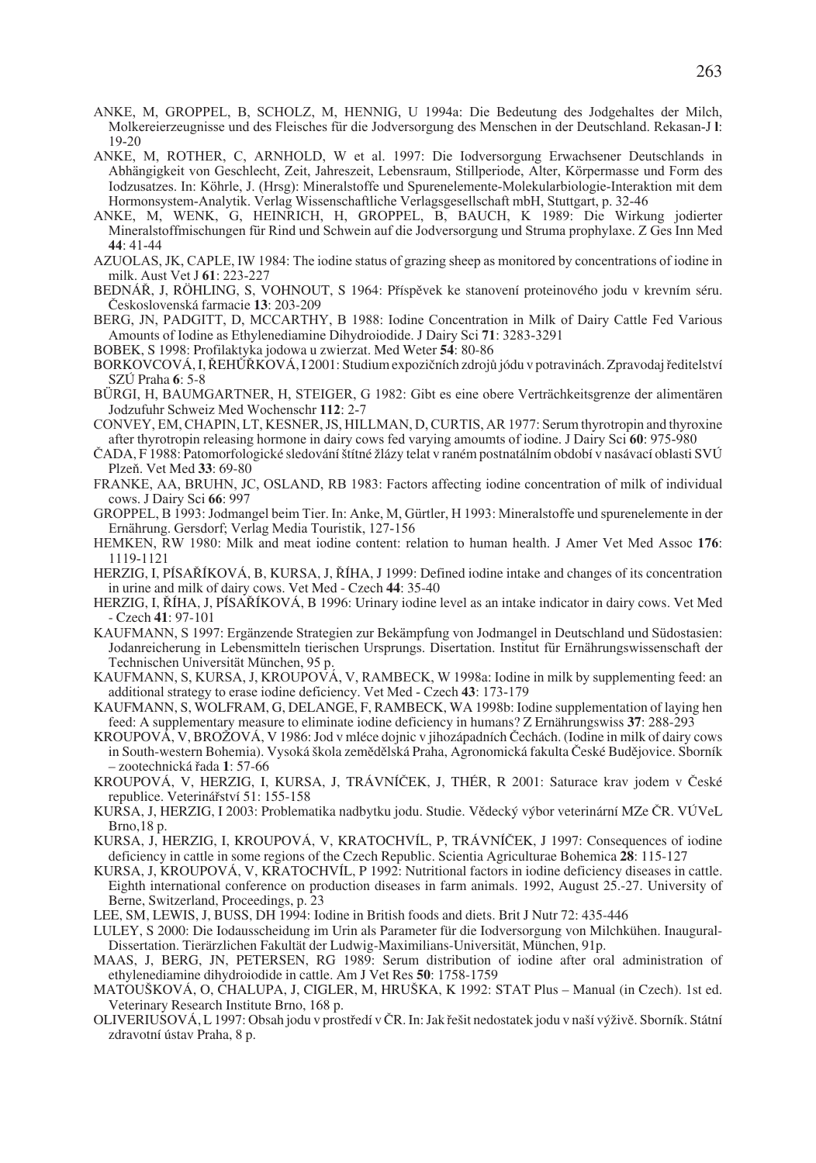- ANKE, M, GROPPEL, B, SCHOLZ, M, HENNIG, U 1994a: Die Bedeutung des Jodgehaltes der Milch, Molkereierzeugnisse und des Fleisches für die Jodversorgung des Menschen in der Deutschland. Rekasan-J **l**: 19-20
- ANKE, M, ROTHER, C, ARNHOLD, W et al. 1997: Die Iodversorgung Erwachsener Deutschlands in Abhängigkeit von Geschlecht, Zeit, Jahreszeit, Lebensraum, Stillperiode, Alter, Körpermasse und Form des Iodzusatzes. In: Köhrle, J. (Hrsg): Mineralstoffe und Spurenelemente-Molekularbiologie-Interaktion mit dem Hormonsystem-Analytik. Verlag Wissenschaftliche Verlagsgesellschaft mbH, Stuttgart, p. 32-46
- ANKE, M, WENK, G, HEINRICH, H, GROPPEL, B, BAUCH, K 1989: Die Wirkung jodierter Mineralstoffmischungen für Rind und Schwein auf die Jodversorgung und Struma prophylaxe. Z Ges Inn Med **44**: 41-44
- AZUOLAS, JK, CAPLE, IW 1984: The iodine status of grazing sheep as monitored by concentrations of iodine in milk. Aust Vet J **61**: 223-227
- BEDNÁŘ, J, RÖHLING, S, VOHNOUT, S 1964: Příspěvek ke stanovení proteinového jodu v krevním séru. âeskoslovenská farmacie **13**: 203-209
- BERG, JN, PADGITT, D, MCCARTHY, B 1988: Iodine Concentration in Milk of Dairy Cattle Fed Various Amounts of Iodine as Ethylenediamine Dihydroiodide. J Dairy Sci **71**: 3283-3291
- BOBEK, S 1998: Profilaktyka jodowa u zwierzat. Med Weter **54**: 80-86
- BORKOVCOVÁ, I, ŘEHŮŘKOVÁ, I 2001: Studium expozičních zdrojů jódu v potravinách. Zpravodaj ředitelství SZÚ Praha **6**: 5-8
- BÜRGI, H, BAUMGARTNER, H, STEIGER, G 1982: Gibt es eine obere Verträchkeitsgrenze der alimentären Jodzufuhr Schweiz Med Wochenschr **112**: 2-7
- CONVEY, EM, CHAPIN, LT, KESNER, JS, HILLMAN, D, CURTIS, AR 1977: Serum thyrotropin and thyroxine after thyrotropin releasing hormone in dairy cows fed varying amoumts of iodine. J Dairy Sci **60**: 975-980
- ČADA, F 1988: Patomorfologické sledování štítné žlázy telat v raném postnatálním období v nasávací oblasti SVÚ PlzeÀ. Vet Med **33**: 69-80
- FRANKE, AA, BRUHN, JC, OSLAND, RB 1983: Factors affecting iodine concentration of milk of individual cows. J Dairy Sci **66**: 997
- GROPPEL, B 1993: Jodmangel beim Tier. In: Anke, M, Gürtler, H 1993: Mineralstoffe und spurenelemente in der Ernährung. Gersdorf; Verlag Media Touristik, 127-156
- HEMKEN, RW 1980: Milk and meat iodine content: relation to human health. J Amer Vet Med Assoc **176**: 1119-1121
- HERZIG, I, PÍSAŘÍKOVÁ, B, KURSA, J, ŘÍHA, J 1999: Defined iodine intake and changes of its concentration in urine and milk of dairy cows. Vet Med - Czech **44**: 35-40
- HERZIG, I, ŘÍHA, J, PÍSAŘÍKOVÁ, B 1996: Urinary iodine level as an intake indicator in dairy cows. Vet Med - Czech **41**: 97-101
- KAUFMANN, S 1997: Ergänzende Strategien zur Bekämpfung von Jodmangel in Deutschland und Südostasien: Jodanreicherung in Lebensmitteln tierischen Ursprungs. Disertation. Institut für Ernährungswissenschaft der Technischen Universität München, 95 p.
- KAUFMANN, S, KURSA, J, KROUPOVÁ, V, RAMBECK, W 1998a: Iodine in milk by supplementing feed: an additional strategy to erase iodine deficiency. Vet Med - Czech **43**: 173-179
- KAUFMANN, S, WOLFRAM, G, DELANGE, F, RAMBECK, WA 1998b: Iodine supplementation of laying hen feed: A supplementary measure to eliminate iodine deficiency in humans? Z Ernährungswiss **37**: 288-293
- KROUPOVÁ, V, BROŽOVÁ, V 1986: Jod v mléce dojnic v jihozápadních Čechách. (Iodine in milk of dairy cows in South-western Bohemia). Vysoká škola zemědělská Praha, Agronomická fakulta České Budějovice. Sborník – zootechnická fiada **1**: 57-66
- KROUPOVÁ, V, HERZIG, I, KURSA, J, TRÁVNÍČEK, J, THÉR, R 2001: Saturace krav jodem v České republice. Veterinářství 51: 155-158
- KURSA, J, HERZIG, I 2003: Problematika nadbytku jodu. Studie. Vědecký výbor veterinární MZe ČR. VÚVeL Brno,18 p.
- KURSA, J, HERZIG, I, KROUPOVÁ, V, KRATOCHVÍL, P, TRÁVNÍČEK, J 1997: Consequences of iodine deficiency in cattle in some regions of the Czech Republic. Scientia Agriculturae Bohemica **28**: 115-127
- KURSA, J, KROUPOVÁ, V, KRATOCHVÍL, P 1992: Nutritional factors in iodine deficiency diseases in cattle. Eighth international conference on production diseases in farm animals. 1992, August 25.-27. University of Berne, Switzerland, Proceedings, p. 23
- LEE, SM, LEWIS, J, BUSS, DH 1994: Iodine in British foods and diets. Brit J Nutr 72: 435-446
- LULEY, S 2000: Die Iodausscheidung im Urin als Parameter für die Iodversorgung von Milchkühen. Inaugural-Dissertation. Tierärzlichen Fakultät der Ludwig-Maximilians-Universität, München, 91p.
- MAAS, J, BERG, JN, PETERSEN, RG 1989: Serum distribution of iodine after oral administration of ethylenediamine dihydroiodide in cattle. Am J Vet Res **50**: 1758-1759
- MATOUŠKOVÁ, O, CHALUPA, J, CIGLER, M, HRUŠKA, K 1992: STAT Plus Manual (in Czech). 1st ed. Veterinary Research Institute Brno, 168 p.
- OLIVERIUSOVÁ, L 1997: Obsah jodu v prostředí v ČR. In: Jak řešit nedostatek jodu v naší výživě. Sborník. Státní zdravotní ústav Praha, 8 p.